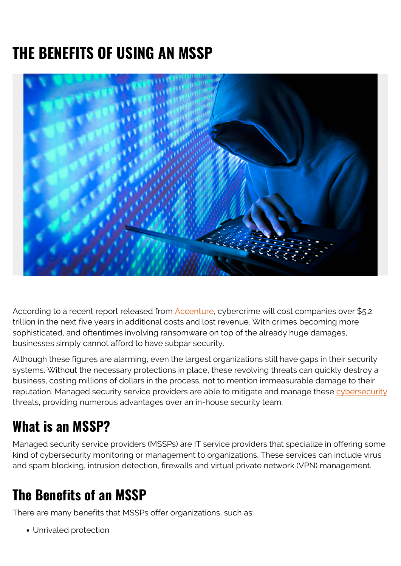# **THE BENEFITS OF USING AN MSSP**



According to a recent report released from **[Accenture](https://www.accenture.com/us-en/insights/security/cost-cybercrime-study)**, cybercrime will cost companies over \$5.2 trillion in the next five years in additional costs and lost revenue. With crimes becoming more sophisticated, and oftentimes involving ransomware on top of the already huge damages, businesses simply cannot afford to have subpar security.

Although these figures are alarming, even the largest organizations still have gaps in their security systems. Without the necessary protections in place, these revolving threats can quickly destroy a business, costing millions of dollars in the process, not to mention immeasurable damage to their reputation. Managed security service providers are able to mitigate and manage these [cybersecurity](https://blogs.bmc.com/blogs/cybersecurity/) threats, providing numerous advantages over an in-house security team.

#### **What is an MSSP?**

Managed security service providers (MSSPs) are IT service providers that specialize in offering some kind of cybersecurity monitoring or management to organizations. These services can include virus and spam blocking, intrusion detection, firewalls and virtual private network (VPN) management.

#### **The Benefits of an MSSP**

There are many benefits that MSSPs offer organizations, such as:

Unrivaled protection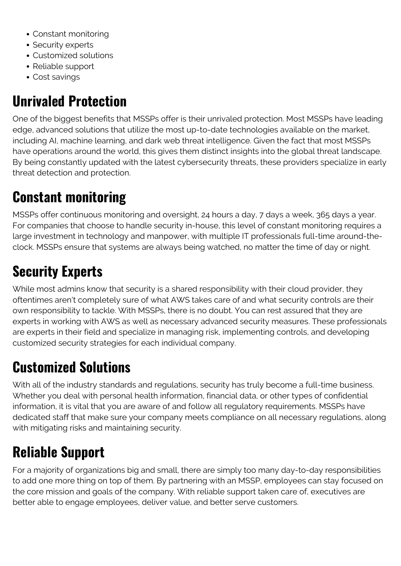- Constant monitoring
- Security experts
- Customized solutions
- Reliable support
- Cost savings

## **Unrivaled Protection**

One of the biggest benefits that MSSPs offer is their unrivaled protection. Most MSSPs have leading edge, advanced solutions that utilize the most up-to-date technologies available on the market, including AI, machine learning, and dark web threat intelligence. Given the fact that most MSSPs have operations around the world, this gives them distinct insights into the global threat landscape. By being constantly updated with the latest cybersecurity threats, these providers specialize in early threat detection and protection.

# **Constant monitoring**

MSSPs offer continuous monitoring and oversight, 24 hours a day, 7 days a week, 365 days a year. For companies that choose to handle security in-house, this level of constant monitoring requires a large investment in technology and manpower, with multiple IT professionals full-time around-theclock. MSSPs ensure that systems are always being watched, no matter the time of day or night.

## **Security Experts**

While most admins know that security is a shared responsibility with their cloud provider, they oftentimes aren't completely sure of what AWS takes care of and what security controls are their own responsibility to tackle. With MSSPs, there is no doubt. You can rest assured that they are experts in working with AWS as well as necessary advanced security measures. These professionals are experts in their field and specialize in managing risk, implementing controls, and developing customized security strategies for each individual company.

## **Customized Solutions**

With all of the industry standards and regulations, security has truly become a full-time business. Whether you deal with personal health information, financial data, or other types of confidential information, it is vital that you are aware of and follow all regulatory requirements. MSSPs have dedicated staff that make sure your company meets compliance on all necessary regulations, along with mitigating risks and maintaining security.

#### **Reliable Support**

For a majority of organizations big and small, there are simply too many day-to-day responsibilities to add one more thing on top of them. By partnering with an MSSP, employees can stay focused on the core mission and goals of the company. With reliable support taken care of, executives are better able to engage employees, deliver value, and better serve customers.